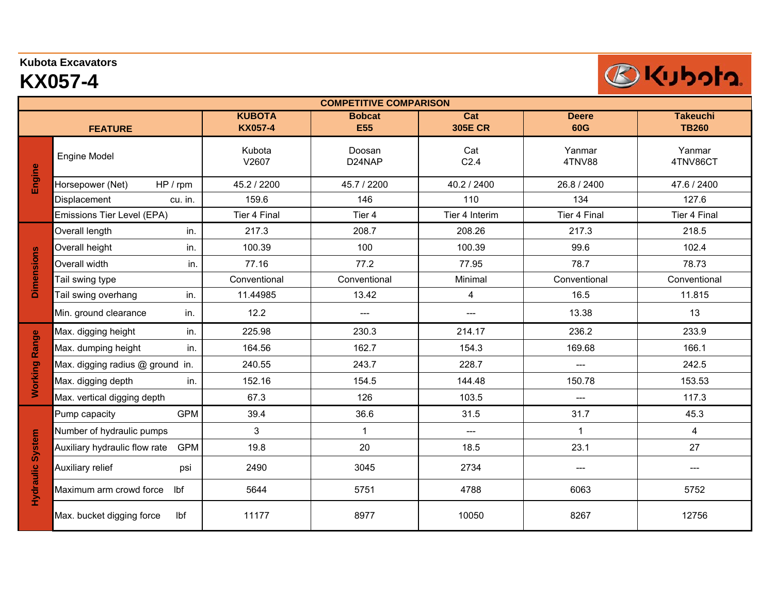## **Kubota Excavators**

## **KX057-4**

L

| <b>COMPETITIVE COMPARISON</b> |                                             |                                 |                             |                          |                     |                                 |  |  |  |  |
|-------------------------------|---------------------------------------------|---------------------------------|-----------------------------|--------------------------|---------------------|---------------------------------|--|--|--|--|
|                               | <b>FEATURE</b>                              | <b>KUBOTA</b><br><b>KX057-4</b> | <b>Bobcat</b><br><b>E55</b> | Cat<br><b>305E CR</b>    | <b>Deere</b><br>60G | <b>Takeuchi</b><br><b>TB260</b> |  |  |  |  |
| Engine                        | <b>Engine Model</b>                         | Kubota<br>V2607                 | Doosan<br>D24NAP            | Cat<br>C2.4              | Yanmar<br>4TNV88    | Yanmar<br>4TNV86CT              |  |  |  |  |
|                               | Horsepower (Net)<br>HP / rpm                | 45.2 / 2200                     | 45.7 / 2200                 | 40.2 / 2400              | 26.8 / 2400         | 47.6 / 2400                     |  |  |  |  |
|                               | Displacement<br>cu. in.                     | 159.6                           | 146                         | 110                      | 134                 | 127.6                           |  |  |  |  |
|                               | Emissions Tier Level (EPA)                  | Tier 4 Final                    | Tier <sub>4</sub>           | Tier 4 Interim           | Tier 4 Final        | Tier 4 Final                    |  |  |  |  |
| <b>Dimensions</b>             | Overall length<br>in.                       | 217.3                           | 208.7                       | 208.26                   | 217.3               | 218.5                           |  |  |  |  |
|                               | Overall height<br>in.                       | 100.39                          | 100                         | 100.39                   | 99.6                | 102.4                           |  |  |  |  |
|                               | Overall width<br>in.                        | 77.16                           | 77.2                        | 77.95                    | 78.7                | 78.73                           |  |  |  |  |
|                               | Tail swing type                             | Conventional                    | Conventional                | Minimal                  | Conventional        | Conventional                    |  |  |  |  |
|                               | Tail swing overhang<br>in.                  | 11.44985                        | 13.42                       | $\overline{4}$           | 16.5                | 11.815                          |  |  |  |  |
|                               | Min. ground clearance<br>in.                | 12.2                            |                             |                          | 13.38               | 13                              |  |  |  |  |
| <b>Working Range</b>          | Max. digging height<br>in.                  | 225.98                          | 230.3                       | 214.17                   | 236.2               | 233.9                           |  |  |  |  |
|                               | Max. dumping height<br>in.                  | 164.56                          | 162.7                       | 154.3                    | 169.68              | 166.1                           |  |  |  |  |
|                               | Max. digging radius @ ground in.            | 240.55                          | 243.7                       | 228.7                    | $---$               | 242.5                           |  |  |  |  |
|                               | Max. digging depth<br>in.                   | 152.16                          | 154.5                       | 144.48                   | 150.78              | 153.53                          |  |  |  |  |
|                               | Max. vertical digging depth                 | 67.3                            | 126                         | 103.5                    | $\overline{a}$      | 117.3                           |  |  |  |  |
| <b>Hydraulic System</b>       | <b>GPM</b><br>Pump capacity                 | 39.4                            | 36.6                        | 31.5                     | 31.7                | 45.3                            |  |  |  |  |
|                               | Number of hydraulic pumps                   | 3 <sup>1</sup>                  | $\mathbf{1}$                | $\hspace{0.05cm} \ldots$ | $\mathbf{1}$        | $\overline{4}$                  |  |  |  |  |
|                               | <b>GPM</b><br>Auxiliary hydraulic flow rate | 19.8                            | 20                          | 18.5                     | 23.1                | 27                              |  |  |  |  |
|                               | Auxiliary relief<br>psi                     | 2490                            | 3045                        | 2734                     | ---                 | ---                             |  |  |  |  |
|                               | Maximum arm crowd force<br>lbf              | 5644                            | 5751                        | 4788                     | 6063                | 5752                            |  |  |  |  |
|                               | Max. bucket digging force<br>lbf            | 11177                           | 8977                        | 10050                    | 8267                | 12756                           |  |  |  |  |